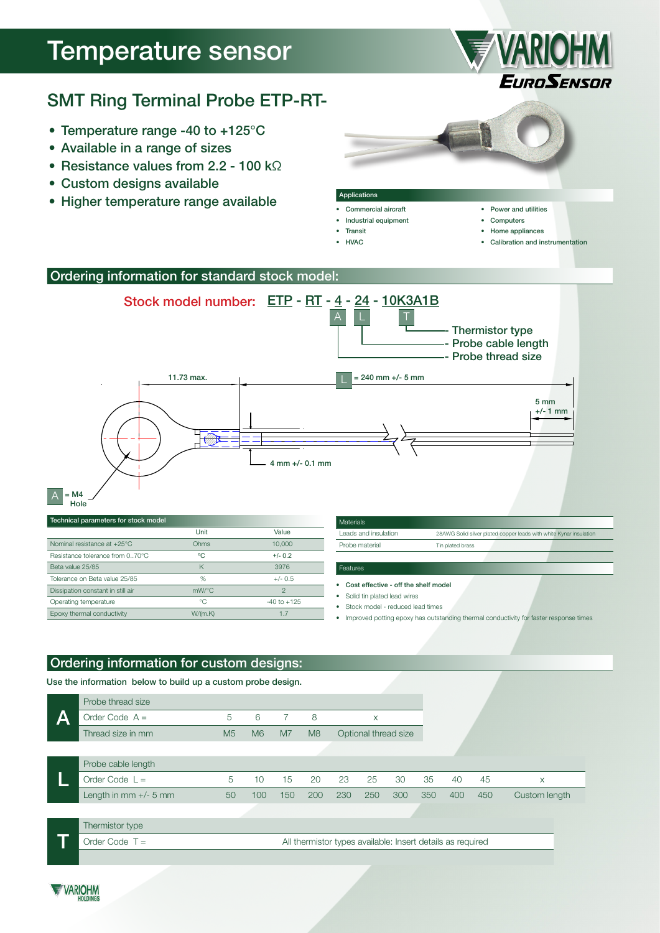# Temperature sensor



## SMT Ring Terminal Probe ETP-RT-

- Temperature range -40 to +125°C
- Available in a range of sizes
- Resistance values from 2.2 100 kΩ
- Custom designs available
- Higher temperature range available



#### Ordering information for standard stock model:



| Technical parameters for stock model |  |
|--------------------------------------|--|

A

|                                       | Unit     | Value           |
|---------------------------------------|----------|-----------------|
| Nominal resistance at $+25^{\circ}$ C | Ohms     | 10,000          |
| Resistance tolerance from 070°C       | °C       | $+/- 0.2$       |
| Beta value 25/85                      | K        | 3976            |
| Tolerance on Beta value 25/85         | %        | $+/- 0.5$       |
| Dissipation constant in still air     | $mW$ /°C | $\mathcal{P}$   |
| Operating temperature                 | °€       | $-40$ to $+125$ |
| Epoxy thermal conductivity            | W/(m.K)  | 1.7             |
|                                       |          |                 |

| Materials            |                                                                    |
|----------------------|--------------------------------------------------------------------|
| Leads and insulation | 28AWG Solid silver plated copper leads with white Kynar insulation |
| Probe material       | Tin plated brass                                                   |
|                      |                                                                    |

- • Cost effective off the shelf model
- • Solid tin plated lead wires

Features

- • Stock model reduced lead times
- • Improved potting epoxy has outstanding thermal conductivity for faster response times

### Ordering information for custom designs:

Use the information below to build up a custom probe design.

|   | Probe thread size                                                              |                |     |                |     |     |                      |     |     |     |     |               |
|---|--------------------------------------------------------------------------------|----------------|-----|----------------|-----|-----|----------------------|-----|-----|-----|-----|---------------|
| Α | Order Code $A =$                                                               | 5              | 6   |                | 8   |     | X                    |     |     |     |     |               |
|   | Thread size in mm                                                              | M <sub>5</sub> | M6  | M <sub>7</sub> | M8  |     | Optional thread size |     |     |     |     |               |
|   |                                                                                |                |     |                |     |     |                      |     |     |     |     |               |
|   | Probe cable length                                                             |                |     |                |     |     |                      |     |     |     |     |               |
|   | Order Code $L =$                                                               | 5              | 10  | 15             | 20  | 23  | 25                   | 30  | 35  | 40  | 45  | X             |
|   | Length in mm $+/-$ 5 mm                                                        | 50             | 100 | 150            | 200 | 230 | 250                  | 300 | 350 | 400 | 450 | Custom length |
|   |                                                                                |                |     |                |     |     |                      |     |     |     |     |               |
|   | Thermistor type                                                                |                |     |                |     |     |                      |     |     |     |     |               |
|   | Order Code $T =$<br>All thermistor types available: Insert details as required |                |     |                |     |     |                      |     |     |     |     |               |